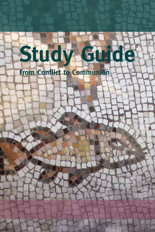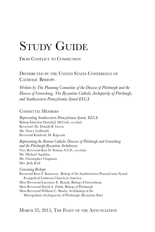# STUDY GUIDE

FROM CONFLICT TO COMMUNION

Distributed by the United States Conference of Catholic Bishops

*Written by The Planning Committee of the Diocese of Pittsburgh and the Diocese of Greensburg, The Byzantine Catholic Archeparchy of Pittsburgh, and Southwestern Pennsylvania Synod ELCA*

#### COMMITTEE MEMBERS

*Representing Southwestern Pennsylvania Synod, ELCA:* Bishop Emeritus Donald J. McCoid, co-chair Reverend Dr. Donald B. Green Ms. Nancy Galbraith Reverend Kimberly M. Rapczak

*Representing the Roman Catholic Dioceses of Pittsburgh and Greensburg and the Pittsburgh Byzantine Archdiocese:* Very Reverend Kris D. Stubna, S.T.D., co-chair Mr. Michael Aquilina Mr. Christopher Chapman Mrs. Judy Kirk

*Convening Bishops*

Reverend Kurt F. Kusserow, Bishop of the Southwestern Pennsylvania Synod Evangelical Lutheran Church in America Most Reverend Lawrence E. Brandt, Bishop of Greensburg Most Reverend David A. Zubik, Bishop of Pittsburgh Most Reverend William C. Skurla, Archbishop of the Metropolitan Archeparchy of Pittsburgh (Byzantine Rite)

MARCH 25, 2015, THE FEAST OF THE ANNUNCIATION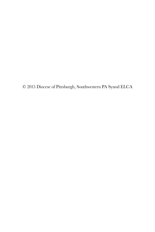© 2015 Diocese of Pittsburgh, Southwestern PA Synod ELCA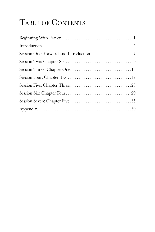## TABLE OF CONTENTS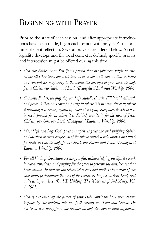## Beginning with Prayer

Prior to the start of each session, and after appropriate introductions have been made, begin each session with prayer. Pause for a time of silent reflection. Several prayers are offered below. As collegiality develops and the local context is defined, specific prayers and intercession might be offered during this time.

- *• God our Father, your Son Jesus prayed that his followers might be one. Make all Christians one with him as he is one with you, so that in peace and concord we may carry to the world the message of your love, through Jesus Christ, our Savior and Lord. (Evangelical Lutheran Worship, 2006)*
- *• Gracious Father, we pray for your holy catholic church. Fill it with all truth and peace. Where it is corrupt, purify it; where it is in error, direct it; where it anything it is amiss, reform it; where it is right, strengthen it; where it is in need, provide for it; where it is divided, reunite it; for the sake of Jesus Christ, your Son, our Lord. (Evangelical Lutheran Worship, 2006)*
- *• Most high and holy God, pour out upon us your one and unifying Spirit, and awaken in every confession of the whole church a holy hunger and thirst for unity in you; through Jesus Christ, our Savior and Lord. (Evangelical Lutheran Worship, 2006)*
- *• For all kinds of Christians we are grateful, acknowledging the Spirit's work in our distinctions, and praying for the grace to perceive the divisiveness that pride creates. In that we are separated sisters and brothers by reason of our own fault, perpetuating the sins of the centuries: Forgive us dear Lord, and unite us in your love. (Carl T. Uehling, The Wideness of God Mercy, Vol. 1, 1985)*
- *• God of our lives, by the power of your Holy Spirit we have been drawn together by one baptism into one faith serving one Lord and Savior. Do not let us tear away from one another through division or hard argument.*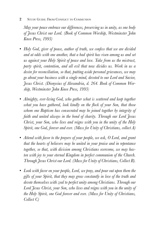2 STUDY GUIDE: FROM CONFLICT TO COMMUNION

*May your peace embrace our differences, preserving us in unity, as one body of Jesus Christ our Lord. (Book of Common Worship, Westminster John Knox Press, 1993)*

- *• Holy God, giver of peace, author of truth, we confess that we are divided and at odds with one another, that a bad spirit has risen among us and set us against your Holy Spirit of peace and love. Take from us the mistrust, party spirit, contention, and all evil that now divides us. Work in us a desire for reconciliation, so that, putting aside personal grievances, we may go about your business with a single mind, devoted to our Lord and Savior, Jesus Christ. (Dionysius of Alexandria, d. 264. Book of Common Worship, Westminster John Knox Press, 1993)*
- *• Almighty, ever-living God, who gather what is scattered and keep together what you have gathered, look kindly on the flock of your Son, that those whom one Baptism has consecrated may be joined together by integrity of faith and united always in the bond of charity. Through our Lord Jesus Christ, your Son, who lives and reigns with you in the unity of the Holy Spirit, one God, forever and ever. (Mass for Unity of Christians, collect A)*
- *• Attend with favor to the prayers of your people, we ask, O Lord, and grant that the hearts of believers may be united in your praise and in repentance together, so that, with division among Christians overcome, we may hasten with joy to your eternal Kingdom in perfect communion of the Church. Through Jesus Christ our Lord. (Mass for Unity of Christians, Collect B).*
- *• Look with favor on your people, Lord, we pray, and pour out upon them the gifts of your Spirit, that they may grow constantly in love of the truth and devote themselves with zeal to perfect unity among Christians. Through our Lord Jesus Christ, your Son, who lives and reigns with you in the unity of the Holy Spirit, one God forever and ever. (Mass for Unity of Christians, Collect C)*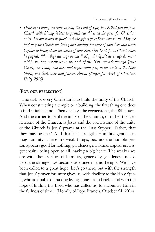*• Heavenly Father, we come to you, the Font of Life, to ask that you fill your Church with Living Water to quench our thirst on the quest for Christian unity. Let our hearts be filled with the gift of your Son's love for us. May we find in your Church the living and abiding presence of your love and work together to bring about the desire of your Son, Our Lord Jesus Christ when he prayed, "that they all may be one." May the Spirit never lay dormant within us, but sustain us on the path of life. This we ask through Jesus Christ, our Lord, who lives and reigns with you, in the unity of the Holy Spirit, one God, now and forever. Amen. (Prayer for Week of Christian Unity 2015).*

#### **(For our reflection)**

"The task of every Christian is to build the unity of the Church. When constructing a temple or a building, the first thing one does is find suitable land. Then one lays the cornerstone, the Bible says. And the cornerstone of the unity of the Church, or rather the cornerstone of the Church, is Jesus and the cornerstone of the unity of the Church is Jesus' prayer at the Last Supper: 'Father, that they may be one!'. And this is its strength! Humility, gentleness, magnanimity: These are weak things, because the humble person appears good for nothing; gentleness, meekness appear useless; generosity, being open to all, having a big heart. The weaker we are with these virtues of humility, generosity, gentleness, meekness, the stronger we become as stones in this Temple. We have been called to a great hope. Let's go there, but with the strength that Jesus' prayer for unity gives us; with docility to the Holy Spirit, who is capable of making living stones from bricks; and with the hope of finding the Lord who has called us, to encounter Him in the fullness of time." (Homily of Pope Francis, October 24, 2014)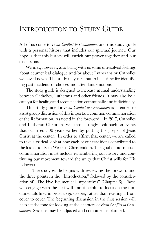### Introduction to Study Guide

All of us come to *From Conflict to Communion* and this study guide with a personal history that includes our spiritual journey. Our hope is that this history will enrich our prayer together and our discussions.

We may, however, also bring with us some unresolved feelings about ecumenical dialogue and/or about Lutherans or Catholics we have known. The study may turn out to be a time for identifying past incidents or choices and attendant emotions.

The study guide is designed to increase mutual understanding between Catholics, Lutherans and other friends. It may also be a catalyst for healing and reconciliation communally and individually.

This study guide for *From Conflict to Communion* is intended to assist group discussion of this important common commemoration of the Reformation. As noted in the foreword, "In 2017, Catholics and Lutheran Christians will most fittingly look back on events that occurred 500 years earlier by putting the gospel of Jesus Christ at the center." In order to affirm that center, we are called to take a critical look at how each of our traditions contributed to the loss of unity in Western Christendom. The goal of our mutual commemoration must include remembering our history and continuing our movement toward the unity that Christ wills for His followers.

The study guide begins with reviewing the foreword and the three points in the "Introduction," followed by the consideration of "The Five Ecumenical Imperatives" (Chapter 6). Those who engage with the text will find it helpful to focus on the fundamentals first, in order to go deeper, rather than reading it from cover to cover. The beginning discussion in the first session will help set the tone for looking at the chapters of *From Conflict to Communion.* Sessions may be adjusted and combined as planned.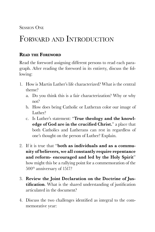**SESSION ONE** 

### FORWARD AND INTRODUCTION

#### **Read the Foreword**

Read the foreword assigning different persons to read each paragraph. After reading the foreword in its entirety, discuss the following:

- 1. How is Martin Luther's life characterized? What is the central theme?
	- a. Do you think this is a fair characterization? Why or why not?
	- b. How does being Catholic or Lutheran color our image of Luther?
	- c. Is Luther's statement: "**True theology and the knowledge of God are in the crucified Christ.**" a place that both Catholics and Lutherans can rest in regardless of one's thought on the person of Luther? Explain.
- 2. If it is true that "**both as individuals and as a community of believers, we all constantly require repentance and reform- encouraged and led by the Holy Spirit**" how might this be a rallying point for a commemoration of the 500th anniversary of 1517?
- 3. **Review the Joint Declaration on the Doctrine of Justification**. What is the shared understanding of justification articulated in the document?
- 4. Discuss the two challenges identified as integral to the commemorative year: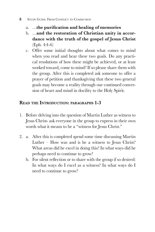#### 8 STUDY GUIDE: FROM CONFLICT TO COMMUNION

- a. …**the purification and healing of memories**
- b. …**and the restoration of Christian unity in accordance with the truth of the gospel of Jesus Christ** (Eph. 4:4-6)
- c. Offer some initial thoughts about what comes to mind when you read and hear these two goals. Do any practical resolutions of how these might be achieved, or at least worked toward, come to mind? If so please share them with the group. After this is completed ask someone to offer a prayer of petition and thanksgiving that these two general goals may become a reality through our continued conversion of heart and mind in docility to the Holy Spirit.

#### **Read the Introduction: paragraphs 1-3**

- 1. Before delving into the question of Martin Luther as witness to Jesus Christ- ask everyone in the group to express in their own words what it means to be a "witness for Jesus Christ."
- 2. a. After this is completed spend some time discussing Martin Luther – How was and is he a witness to Jesus Christ? What areas did he excel in doing this? In what ways did he perhaps need to continue to grow?
	- b. For silent reflection or to share with the group if so desired: In what ways do I excel as a witness? In what ways do I need to continue to grow?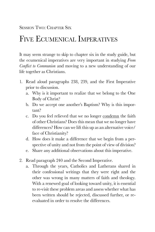## Five Ecumenical Imperatives

It may seem strange to skip to chapter six in the study guide, but the ecumenical imperatives are very important in studying *From Conflict to Communion* and moving to a new understanding of our life together as Christians.

- 1. Read aloud paragraphs 238, 239, and the First Imperative prior to discussion.
	- a. Why is it important to realize that we belong to the One Body of Christ?
	- b. Do we accept one another's Baptism? Why is this important?
	- c. Do you feel relieved that we no longer condemn the faith of other Christians? Does this mean that we no longer have differences? How can we lift this up as an alternative voice/ face of Christianity?
	- d. How does it make a difference that we begin from a perspective of unity and not from the point of view of division?
	- e. Share any additional observations about this imperative.
- 2. Read paragraph 240 and the Second Imperative.
	- a. Through the years, Catholics and Lutherans shared in their confessional writings that they were right and the other was wrong in many matters of faith and theology. With a renewed goal of looking toward unity, it is essential to re-visit these problem areas and assess whether what has been written should be rejected, discussed further, or reevaluated in order to resolve the differences.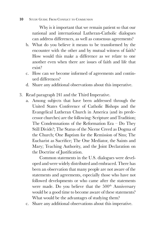#### **10** STUDY GUIDE: FROM CONFLICT TO COMMUNION

 Why is it important that we remain patient so that our national and international Lutheran-Catholic dialogues can address differences, as well as consensus agreements?

- b. What do you believe it means to be transformed by the encounter with the other and by mutual witness of faith? How would this make a difference as we relate to one another even when there are issues of faith and life that exist?
- c. How can we become informed of agreements and continued differences?
- d. Share any additional observations about this imperative.
- 3. Read paragraph 241 and the Third Imperative.
	- a. Among subjects that have been addressed through the United States Conference of Catholic Bishops and the Evangelical Lutheran Church in America (and its predecessor churches) are the following: Scripture and Tradition; The Condemnations of the Reformation Era – Do They Still Divide?; The Status of the Nicene Creed as Dogma of the Church; One Baptism for the Remission of Sins; The Eucharist as Sacrifice; The One Mediator, the Saints and Mary; Teaching Authority, and the Joint Declaration on the Doctrine of Justification.

 Common statements in the U.S. dialogues were developed and were widely distributed and embraced. There has been an observation that many people are not aware of the statements and agreements, especially those who have not followed developments or who came after the statements were made. Do you believe that the  $500<sup>th</sup>$  Anniversary would be a good time to become aware of these statements? What would be the advantages of studying them?

c. Share any additional observations about this imperative.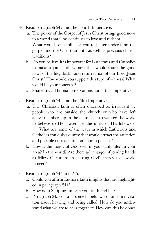- 4. Read paragraph 242 and the Fourth Imperative.
	- a. The power of the Gospel of Jesus Christ brings good news to a world that God continues to love and redeem. What would be helpful for you to better understand the gospel and the Christian faith as well as previous church traditions?
	- b. Do you believe it is important for Lutherans and Catholics to make a joint faith witness that would share the good news of the life, death, and resurrection of our Lord Jesus Christ? How would you support this type of witness? What would be your concerns?
	- c. Share any additional observations about this imperative.
- 5. Read paragraph 243 and the Fifth Imperative.
	- a. The Christian faith is often described as irrelevant by people who are outside the church or who have left active membership in the church. Jesus wanted the world to believe so He prayed for the unity of His followers.

What are some of the ways in which Lutherans and Catholics could show unity that would attract the attention and possible outreach to non-church persons?

- b. How is the mercy of God seen in your daily life? In your area? In the world? Are there advantages of joining hands as fellow Christians in sharing God's mercy to a world in need?
- 6. Read paragraph 244 and 245.
	- a. Could you affirm Luther's faith insights that are highlighted in paragraph 244?
	- b. How does Scripture inform your faith and life?
	- c. Paragraph 245 contains some hopeful words and an invitation about hearing and being called. How do you understand what we are to hear together? How can this be done?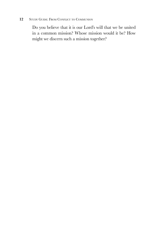#### 12 STUDY GUIDE: FROM CONFLICT TO COMMUNION

Do you believe that it is our Lord's will that we be united in a common mission? Whose mission would it be? How might we discern such a mission together?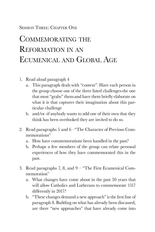#### SESSION THREE: CHAPTER ONE

## COMMEMORATING THE Reformation in an Ecumenical and Global Age

- 1. Read aloud paragraph 4
	- a. This paragraph deals with "context". Have each person in the group choose one of the three listed challenges-the one that most "grabs" them-and have them briefly elaborate on what it is that captures their imagination about this particular challenge
	- b. and/or -if anybody wants to add one of their own that they think has been overlooked they are invited to do so.
- 2. Read paragraphs 5 and 6 –"The Character of Previous Commemorations"
	- a. How have commemorations been handled in the past?
	- b. Perhaps a few members of the group can relate personal experiences of how they have commemorated this in the past.
- 3. Read paragraphs 7, 8, and 9 "The First Ecumenical Commemoration"
	- a. What changes have come about in the past 50 years that will allow Catholics and Lutherans to commemorate 1517 differently in 2017?
	- b. "These changes demand a new approach" is the first line of paragraph 8. Building on what has already been discussed, are there "new approaches" that have already come into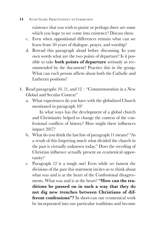#### 14 STUDY GUIDE: FROM CONFLICT TO COMMUNION

existence that you wish to praise or perhaps there are some which you hope to see come into existence? Discuss these.

- c. Even when oppositional differences remain what can we learn from 50 years of dialogue, prayer, and worship?
- d. Reread this paragraph aloud before discussing. In your own words what are the two points of departure? Is it possible to take **both points of departure** seriously as recommended by the document? Practice this in the group. What can each person affirm about both the Catholic and Lutheran positions?
- 4. Read paragraphs 10, 11, and 12 "Commemoration in a New Global and Secular Context"
	- a. What experiences do you have with the globalized Church mentioned in paragraph 10?

 In what ways has the development of a global church and Christianity helped to change the context of the confessional conflicts of history? How might these influences impact 2017?

- b. What do you think the last line of paragraph 11 means? "As a result of this forgetting much what divided the church in the past is virtually unknown today." Does the receding of Christian influence actually present an ecumenical opportunity?
- c. Paragraph 12 is a tough one! Even while we lament the divisions of the past this statement invites us to think about what was and is at the heart of the Confessional disagreements. What was and is at the heart? **"How can the traditions be passed on in such a way that they do not dig new trenches between Christians of different confessions"?** In short-can our ecumenical work be incorporated into our particular traditions and become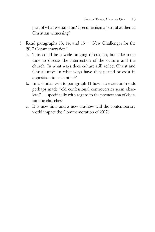part of what we hand on? Is ecumenism a part of authentic Christian witnessing?

- 5. Read paragraphs 13, 14, and 15 "New Challenges for the 2017 Commemoration"
	- a. This could be a wide-ranging discussion, but take some time to discuss the intersection of the culture and the church. In what ways does culture still reflect Christ and Christianity? In what ways have they parted or exist in opposition to each other?
	- b. In a similar vein to paragraph 11 how have certain trends perhaps made "old confessional controversies seem obsolete." ….specifically with regard to the phenomena of charismatic churches?
	- c. It is new time and a new era-how will the contemporary world impact the Commemoration of 2017?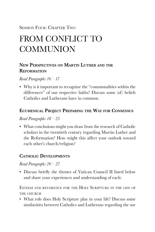### Session Four: Chapter Two

## FROM CONFLICT TO **COMMUNION**

#### **New Perspectives on Martin Luther and the Reformation**

*Read Paragraphs 16 – 17*

• Why is it important to recognize the "commonalities within the differences" of our respective faiths? Discuss some (of) beliefs Catholics and Lutherans have in common.

#### **Ecumenical Project Preparing the Way for Consensus**

#### *Read Paragraphs 18 – 25*

• What conclusions might you draw from the research of Catholic scholars in the twentieth century regarding Martin Luther and the Reformation? How might this affect your outlook toward each other's church/religion?

#### **Catholic Developments**

#### *Read Paragraphs 26 – 27*

• Discuss briefly the themes of Vatican Council II listed below and share your experiences and understanding of each:

Esteem and reverence for the Holy Scripture in the life of THE CHURCH

• What role does Holy Scripture play in your life? Discuss some similarities between Catholics and Lutherans regarding the use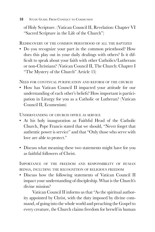of Holy Scripture. (Vatican Council II, Revelation: Chapter VI "Sacred Scripture in the Life of the Church")

Rediscovery of the common priesthood of all the baptized

• Do you recognize your part in the common priesthood? How does this play out in your daily dealings with others? Is it difficult to speak about your faith with other Catholics/Lutherans or non-Christians? (Vatican Council II, The Church: Chapter I "The Mystery of the Church" Article 15)

Need for continual purification and reform of the church

• How has Vatican Council II impacted your attitude for our understanding of each other's beliefs? How important is participation in Liturgy for you as a Catholic or Lutheran? (Vatican Council II, Ecumenism)

Understanding of church office as service

- At his holy inauguration as Faithful Head of the Catholic Church, Pope Francis stated that we should, "Never forget that authentic power is service" and that "Only those who serve with love are able to protect."
- Discuss what meaning these two statements might have for you as faithful followers of Christ.

Importance of the freedom and responsibility of human beings, including the recognition of religious freedom

• Discuss how the following statements of Vatican Council II impact your understanding of discipleship. What is the Church's divine mission?

 Vatican Council II informs us that "As the spiritual authority appointed by Christ, with the duty imposed by divine command, of going into the whole world and preaching the Gospel to every creature, the Church claims freedom for herself in human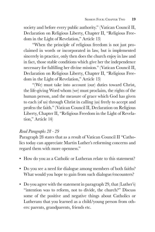society and before every public authority." (Vatican Council II, Declaration on Religious Liberty, Chapter II, "Religious Freedom in the Light of Revelation," Article 13)

 "When the principle of religious freedom is not just proclaimed in words or incorporated in law, but is implemented sincerely in practice, only then does the church enjoy in law and in fact, those stable conditions which give her the independence necessary for fulfilling her divine mission." (Vatican Council II, Declaration on Religious Liberty, Chapter II, "Religious Freedom in the Light of Revelation," Article 13)

 "(We) must take into account (our) duties toward Christ, the life-giving Word whom (we) must proclaim, the rights of the human person, and the measure of grace which God has given to each (of us) through Christ in calling (us) freely to accept and profess the faith." (Vatican Council II, Declaration on Religious Liberty, Chapter II, "Religious Freedom in the Light of Revelation," Article 14)

#### *Read Paragraphs 28 - 29*

Paragraph 28 states that as a result of Vatican Council II "Catholics today can appreciate Martin Luther's reforming concerns and regard them with more openness."

- How do you as a Catholic or Lutheran relate to this statement?
- Do you see a need for dialogue among members of both faiths? What would you hope to gain from such dialogue/encounters?
- Do you agree with the statement in paragraph 29, that (Luther's) "intention was to reform, not to divide, the church?" Discuss some of the positive and negative things about Catholics or Lutherans that you learned as a child/young person from others: parents, grandparents, friends etc.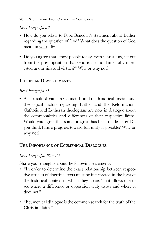#### *Read Paragraph 30*

- How do you relate to Pope Benedict's statement about Luther regarding the question of God? What does the question of God mean in your life?
- Do you agree that "most people today, even Christians, set out from the presupposition that God is not fundamentally interested in our sins and virtues?" Why or why not?

### **Lutheran Developments**

#### *Read Paragraph 31*

• As a result of Vatican Council II and the historical, social, and theological factors regarding Luther and the Reformation, Catholic and Lutheran theologians are now in dialogue about the commonalities and differences of their respective faiths. Would you agree that some progress has been made here? Do you think future progress toward full unity is possible? Why or why not?

### **The Importance of Ecumenical Dialogues**

#### *Read Paragraphs 32 – 34*

Share your thoughts about the following statements:

- "In order to determine the exact relationship between respective articles of doctrine, texts must be interpreted in the light of the historical context in which they arose. That allows one to see where a difference or opposition truly exists and where it does not."
- "Ecumenical dialogue is the common search for the truth of the Christian faith."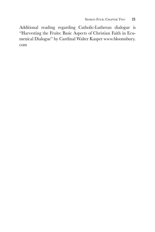Additional reading regarding Catholic-Lutheran dialogue is "Harvesting the Fruits: Basic Aspects of Christian Faith in Ecumenical Dialogue" by Cardinal Walter Kasper www.bloomsbury. com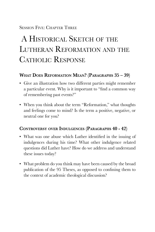#### Session Five: Chapter Three

## A Historical Sketch of the LUTHERAN REFORMATION AND THE CATHOLIC RESPONSE

#### **What Does Reformation Mean? (Paragraphs 35 – 39)**

- Give an illustration how two different parties might remember a particular event. Why is it important to "find a common way of remembering past events?"
- When you think about the term "Reformation," what thoughts and feelings come to mind? Is the term a positive, negative, or neutral one for you?

#### **Controversy over Indulgences (Paragraphs 40 - 42)**

- What was one abuse which Luther identified in the issuing of indulgences during his time? What other indulgence related questions did Luther have? How do we address and understand these issues today?
- What problem do you think may have been caused by the broad publication of the 95 Theses, as opposed to confining them to the context of academic theological discussion?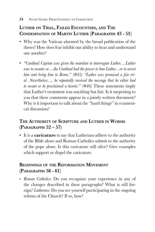#### **Luther on Trial, Failed Encounters, and The Condemnation of Martin Luther (Paragraphs 43 - 51)**

- Why was the Vatican alarmed by the broad publication of the theses? How does fear inhibit our ability to hear and understand one another?
- *"Cardinal Cajetan was given the mandate to interrogate Luther….Luther was to recants or….the Cardinal had the power to ban Luther…or to arrest him and bring him to Rome." (#45) "Luther was promised a fair trial. Nevertheless…, he repeatedly received the message that he either had to recant or be proclaimed a heretic." (#46)* These statements imply that Luther's treatment was anything but fair. Is it surprising to you that these comments appear in a jointly written document? Why is it important to talk about the "hard things" in ecumenical discussion?

### **The Authority of Scripture and Luther in Worms (Paragraphs 52 – 57)**

• It is a **caricature** to say that Lutherans adhere to the authority of the Bible alone and Roman Catholics submit to the authority of the pope alone. Is this caricature still alive? Give examples which support or dispel the caricature.

### **Beginnings of the Reformation Movement (Paragraphs 58 - 61)**

• *Roman Catholics:* Do you recognize your experience in any of the changes described in these paragraphs? What is still foreign? *Lutherans:* Do you see yourself participating in the ongoing reform of the Church? If so, how?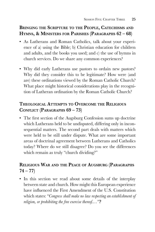#### **Bringing the Scripture to the People, Catechisms and Hymns, & Ministers for Parishes (Paragraphs 62 – 68)**

- As Lutherans and Roman Catholics, talk about your experience of a) using the Bible; b) Christian education for children and adults, and the books you used; and c) the use of hymns in church services. Do we share any common experiences?
- Why did early Lutherans use pastors to ordain new pastors? Why did they consider this to be legitimate? How were (and are) these ordinations viewed by the Roman Catholic Church? What place might historical considerations play in the recognition of Lutheran ordination by the Roman Catholic Church?

#### **Theological Attempts to Overcome the Religious Conflict (Paragraphs 69 – 73)**

• The first section of the Augsburg Confession sums up doctrine which Lutherans held to be undisputed, differing only in inconsequential matters. The second part deals with matters which were held to be still under dispute. What are some important areas of doctrinal agreement between Lutherans and Catholics today? Where do we still disagree? Do you see the differences which remain as truly "church dividing?"

#### **Religious War and the Peace of Augsburg (Paragraphs 74 – 77)**

• In this section we read about some details of the interplay between state and church. How might this European experience have influenced the First Amendment of the U.S. Constitution which states: "*Congress shall make no law respecting an establishment of religion, or prohibiting the free exercise thereof.…"***?**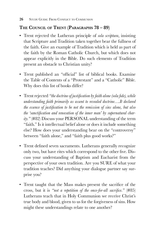#### **The Council of Trent (Paragraphs 78 – 89)**

- Trent rejected the Lutheran principle of *sola scriptura*, insisting that Scripture and Tradition taken together bear the fullness of the faith. Give an example of Tradition which is held as part of the faith by the Roman Catholic Church, but which does not appear explicitly in the Bible. Do such elements of Tradition present an obstacle to Christian unity?
- Trent published an "official" list of biblical books. Examine the Table of Contents of a "Protestant" and a "Catholic" Bible. Why does this list of books differ?
- Trent rejected *"the doctrineof justification byfaith alone (sola fide), while understanding faith primarily as assent to revealed doctrine….It declared the essence of justification to be not the remission of sins alone, but also the 'sanctification and renovation of the inner man' by supernatural charity."* (#82) Discuss your PERSONAL understanding of the term "faith." Is it intellectual belief alone or does it include something else? How does your understanding bear on the "controversy" between "faith alone," and "faith plus good works?"
- Trent defined seven sacraments. Lutherans generally recognize only two, but have rites which correspond to the other five. Discuss your understanding of Baptism and Eucharist from the perspective of your own tradition. Are you SURE of what your tradition teaches? Did anything your dialogue partner say surprise you?
- Trent taught that the Mass makes present the sacrifice of the cross, but it is *"not a repetition of the once-for-all sacrifice."* (#85) Lutherans teach that in Holy Communion we receive Christ's true body and blood, given to us for the forgiveness of sins. How might these understandings relate to one another?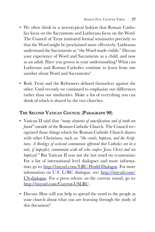- We often think in a stereotypical fashion that Roman Catholics focus on the Sacraments and Lutherans focus on the Word. The Council of Trent instituted formal seminaries precisely so that the Word might be proclaimed more effectively. Lutherans understand the Sacraments as "the Word made visible." Discuss your experience of Word and Sacraments as a child, and now as an adult. Have you grown in your understanding? What can Lutherans and Roman Catholics continue to learn from one another about Word and Sacraments?
- Both Trent and the Reformers defined themselves against the other. Until recently we continued to emphasize our differences rather than our similarities. Make a list of everything you can think of which is shared by the two churches.

#### **The Second Vatican Council (Paragraph 90)**

- Vatican II said that *"many elements of sanctification and of truth are found*" outside of the Roman Catholic Church. The Council recognized those things which the Roman Catholic Church shares with other Christians, such as: *"the creeds, baptism, and the Scriptures. A theolog y of ecclesial communion affirmed that Catholics are in a real, if imperfect, communion with all who confess Jesus Christ and are baptized."* But Vatican II was not the last word on ecumenism: For a list of international level dialogues and more information, go to: http://tinyurl.com/LRC-World-Dialogue. For more information on U.S. L/RC dialogue, see: http://tinyurl.com/ US-dialogue. For a press release on the current round, go to: http://tinyurl.com/Current-USLRC.
- Discuss: How will you help to spread the word to the people at your church about what you are learning through the study of this document?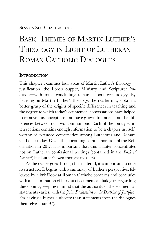#### Session Six: Chapter Four

## Basic Themes of Martin Luther's Theology in Light of Lutheran-ROMAN CATHOLIC DIALOGUES

#### **Introduction**

This chapter examines four areas of Martin Luther's theology justification, the Lord's Supper, Ministry and Scripture/Tradition—with some concluding remarks about ecclesiology. By focusing on Martin Luther's theology, the reader may obtain a better grasp of the origins of specific differences in teaching and the degree to which today's ecumenical conversations have helped to remove misconceptions and have grown to understand the differences between our two communions. Each of the jointly written sections contains enough information to be a chapter in itself, worthy of extended conversation among Lutherans and Roman Catholics today. Given the upcoming commemoration of the Reformation in 2017, it is important that this chapter concentrates not on Lutheran confessional writings (contained in the *Book of Concord*) but Luther's own thought (par. 93).

As the reader goes through this material, it is important to note its structure. It begins with a summary of Luther's perspective, followed by a brief look at Roman Catholic concerns and concludes with an examination of harvest of ecumenical dialogues regarding these points, keeping in mind that the authority of the ecumenical statements varies, with the *Joint Declaration on the Doctrine of Justification* having a higher authority than statements from the dialogues themselves (par. 97).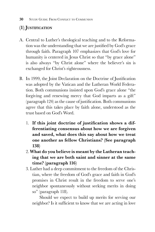### **(1) Justification**

- A. Central to Luther's theological teaching and to the Reformation was the understanding that we are justified by God's grace through faith. Paragraph 107 emphasizes that God's love for humanity is centered in Jesus Christ so that "by grace alone" is also always "by Christ alone" where the believer's sin is exchanged for Christ's righteousness.
- B. In 1999, the Joint Declaration on the Doctrine of Justification was adopted by the Vatican and the Lutheran World Federation. Both communions insisted upon God's grace alone "the forgiving and renewing mercy that God imparts as a gift" (paragraph 124) as the cause of justification. Both communions agree that this takes place by faith alone, understood as the trust based on God's Word.
	- 1. **If this joint doctrine of justification shows a differentiating consensus about how we are forgiven and saved, what does this say about how we treat one another as fellow Christians? (See paragraph 138)**
	- 2. **What do you believe is meant by the Lutheran teaching that we are both saint and sinner at the same time? (paragraph 116)**
	- 3. Luther had a deep commitment to the freedom of the Christian, where the freedom of God's grace and faith in God's promises in Christ result in the freedom to serve one's neighbor spontaneously without seeking merits in doing so" (paragraph 118).

 Should we expect to build up merits for serving our neighbor? Is it sufficient to know that we are acting in love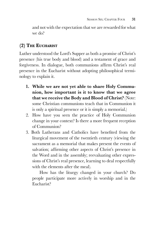and not with the expectation that we are rewarded for what we do?

### **(2) The Eucharist**

Luther understood the Lord's Supper as both a promise of Christ's presence (his true body and blood) and a testament of grace and forgiveness. In dialogue, both communions affirm Christ's real presence in the Eucharist without adopting philosophical terminology to explain it.

- **1. While we are not yet able to share Holy Communion, how important is it to know that we agree that we receive the Body and Blood of Christ?** (Note: some Christian communions teach that in Communion it is only a spiritual presence or it is simply a memorial.)
- 2. How have you seen the practice of Holy Communion change in your context? Is there a more frequent reception of Communion?
- 3. Both Lutherans and Catholics have benefited from the liturgical movement of the twentieth century (viewing the sacrament as a memorial that makes present the events of salvation; affirming other aspects of Christ's presence in the Word and in the assembly; reevaluating other expressions of Christ's real presence, learning to deal respectfully with the elements after the meal).

 How has the liturgy changed in your church? Do people participate more actively in worship and in the Eucharist?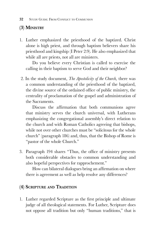### **(3) Ministry**

1. Luther emphasized the priesthood of the baptized. Christ alone is high priest, and through baptism believers share his priesthood and kingship (I Peter 2:9). He also emphasized that while all are priests, not all are ministers.

 Do you believe every Christian is called to exercise the calling in their baptism to serve God and their neighbor?

 2. In the study document, *The Apostolicity of the Church,* there was a common understanding of the priesthood of the baptized, the divine source of the ordained office of public ministry, the centrality of proclamation of the gospel and administration of the Sacraments.

Discuss the affirmation that both communions agree that ministry serves the church universal, with Lutherans emphasizing the congregational assembly's direct relation to the church and with Roman Catholics agreeing that bishops, while not over other churches must be "solicitous for the whole church" (paragraph 186) and, thus, that the Bishop of Rome is "pastor of the whole Church."

3. Paragraph 194 shares "Thus, the office of ministry presents both considerable obstacles to common understanding and also hopeful perspectives for rapprochement."

How can bilateral dialogues bring an affirmation on where there is agreement as well as help resolve any differences?

### **(4) Scripture and Tradition**

1. Luther regarded Scripture as the first principle and ultimate judge of all theological statements. For Luther, Scripture does not oppose all tradition but only "human traditions," that is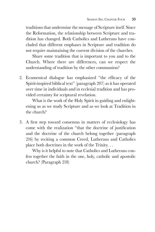traditions that undermine the message of Scripture itself. Since the Reformation, the relationship between Scripture and tradition has changed. Both Catholics and Lutherans have concluded that different emphases in Scripture and tradition do not require maintaining the current division of the churches.

 Share some tradition that is important to you and to the Church. Where there are differences, can we respect the understanding of tradition by the other communion?

2. Ecumenical dialogue has emphasized "the efficacy of the Spirit-inspired biblical text" (paragraph 207) as it has operated over time in individuals and in ecclesial tradition and has provided certainty for scriptural revelation.

 What is the work of the Holy Spirit in guiding and enlightening us as we study Scripture and as we look at Tradition in the church?

3. A first step toward consensus in matters of ecclesiology has come with the realization "that the doctrine of justification and the doctrine of the church belong together (paragraph 216) by reciting a common Creed, Lutherans and Catholics place both doctrines in the work of the Trinity. . .

 Why is it helpful to note that Catholics and Lutherans confess together the faith in the one, holy, catholic and apostolic church? (Paragraph 218)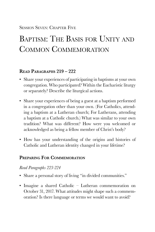Session Seven: Chapter Five

## Baptism: The Basis for Unity and Common Commemoration

#### **Read Paragraphs 219 – 222**

- Share your experiences of participating in baptisms at your own congregation. Who participated? Within the Eucharistic liturgy or separately? Describe the liturgical actions.
- Share your experiences of being a guest at a baptism performed in a congregation other than your own. (For Catholics, attending a baptism at a Lutheran church; For Lutherans, attending a baptism at a Catholic church.) What was similar to your own tradition? What was different? How were you welcomed or acknowledged as being a fellow member of Christ's body?
- How has your understanding of the origins and histories of Catholic and Lutheran identity changed in your lifetime?

#### **Preparing For Commemoration**

#### *Read Paragraphs 223-224*

- Share a personal story of living "in divided communities."
- Imagine a shared Catholic Lutheran commemoration on October 31, 2017. What attitudes might shape such a commemoration? Is there language or terms we would want to avoid?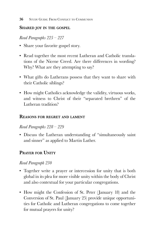#### **Shared joy in the gospel**

*Read Paragraphs 225 – 227*

- Share your favorite gospel story.
- Read together the most recent Lutheran and Catholic translations of the Nicene Creed. Are there differences in wording? Why? What are they attempting to say?
- What gifts do Lutherans possess that they want to share with their Catholic siblings?
- How might Catholics acknowledge the validity, virtuous works, and witness to Christ of their "separated brethren" of the Lutheran tradition?

#### **Reasons for regret and lament**

#### *Read Paragraphs 228 – 229*

• Discuss the Lutheran understanding of "simultaneously saint and sinner" as applied to Martin Luther.

#### **Prayer for Unity**

#### *Read Paragraph 230*

- Together write a prayer or intercession for unity that is both global in its plea for more visible unity within the body of Christ and also contextual for your particular congregations.
- How might the Confession of St. Peter (January 18) and the Conversion of St. Paul (January 25) provide unique opportunities for Catholic and Lutheran congregations to come together for mutual prayers for unity?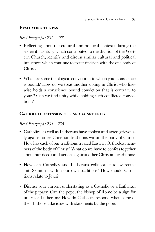#### **Evaluating the past**

#### *Read Paragraphs 231 – 233*

- Reflecting upon the cultural and political contexts during the sixteenth century which contributed to the division of the Western Church, identify and discuss similar cultural and political influences which continue to foster division with the one body of Christ.
- What are some theological convictions to which your conscience is bound? How do we treat another sibling in Christ who likewise holds a conscience bound conviction that is contrary to yours? Can we find unity while holding such conflicted convictions?

#### **Catholic confession of sins against unity**

#### *Read Paragraphs 234 – 235*

- Catholics, as well as Lutherans have spoken and acted grievously against other Christian traditions within the body of Christ. How has each of our traditions treated Eastern Orthodox members of the body of Christ? What do we have to confess together about our deeds and actions against other Christian traditions?
- How can Catholics and Lutherans collaborate to overcome anti-Semitism within our own traditions? How should Christians relate to Jews?
- Discuss your current understating as a Catholic or a Lutheran of the papacy. Can the pope, the bishop of Rome be a sign for unity for Lutherans? How do Catholics respond when some of their bishops take issue with statements by the pope?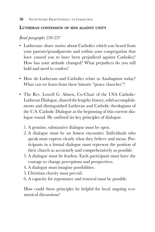#### **Lutheran confession of sins against unity**

#### *Read paragraphs 236-237*

- Lutherans: share stories about Catholics which you heard from your parents/grandparents and within your congregation that have caused you to have been prejudiced against Catholics? How has your attitude changed? What prejudices do you still hold and need to confess?
- How do Lutherans and Catholics relate to Anabaptists today? What can we learn from these historic "peace churches"?
- The Rev. Lowell G. Almen, Co-Chair of the USA Catholic-Lutheran Dialogue, shared the lengthy history, solid accomplishments and distinguished Lutheran and Catholic theologians of the U.S. Catholic Dialogue at the beginning of this current dialogue round. He outlined six key principles of dialogue:
	- 1. A genuine, substantive dialogue must be open.
	- 2. A dialogue must be an honest encounter. Individuals who speak must express clearly what they believe and mean. Participants in a formal dialogue must represent the position of their church as accurately and comprehensively as possible.
	- 3. A dialogue must be fearless. Each participant must have the courage to change perceptions and perspectives.
	- 4. A dialogue must imagine possibilities.
	- 5. Christian charity must prevail.
	- 6. A capacity for repentance and renewal must be possible.

How could these principles be helpful for local ongoing ecumenical discussions?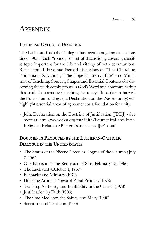## **APPENDIX**

#### **Lutheran Catholic Dialogue**

The Lutheran-Catholic Dialogue has been in ongoing discussions since 1965. Each "round," or set of discussions, covers a specific topic important for the life and vitality of both communions. Recent rounds have had focused discussions on "The Church as Koinonia of Salvation", "The Hope for Eternal Life", and Ministries of Teaching: Sources, Shapes and Essential Contents (for discerning the truth coming to us in God's Word and communicating this truth in normative teaching for today). In order to harvest the fruits of our dialogue, a Declaration on the Way (to unity) will highlight essential areas of agreement as a foundation for unity.

• Joint Declaration on the Doctrine of Justification (JDDJ) - See more at: http://www.elca.org/en/Faith/Ecumenical-and-Inter-Religious-Relations/Bilateral#sthash.sbvdJvPs.dpuf

#### **Documents Produced by the Lutheran-Catholic Dialogue in the United States**

- The Status of the Nicene Creed as Dogma of the Church (July 7, 1965)
- One Baptism for the Remission of Sins (February 13, 1966)
- The Eucharist (October 1, 1967)
- Eucharist and Ministry (1970)
- Differing Attitudes Toward Papal Primacy (1973)
- Teaching Authority and Infallibility in the Church (1978)
- Justification by Faith (1983)
- The One Mediator, the Saints, and Mary (1990)
- Scripture and Tradition (1995)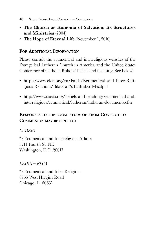- **The Church as Koinonia of Salvation: Its Structures and Ministries** (2004)
- **The Hope of Eternal Life** (November 1, 2010)

#### **For Additional Information**

Please consult the ecumenical and interreligious websites of the Evangelical Lutheran Church in America and the United States Conference of Catholic Bishops' beliefs and teaching (See below)

- http://www.elca.org/en/Faith/Ecumenical-and-Inter-Religious-Relations/Bilateral#sthash.sbvdJvPs.dpuf
- http://www.usccb.org/beliefs-and-teachings/ecumenical-andinterreligious/ecumenical/lutheran/lutheran-documents.cfm

#### **Responses to the local study of From Conflict to Communion may be sent to:**

#### *CADEIO*

% Ecumenical and Interreligious Affairs 3211 Fourth St. NE Washington, D.C. 20017

#### *LEIRN – ELCA*

% Ecumenical and Inter-Religious 8765 West Higgins Road Chicago, IL 60631